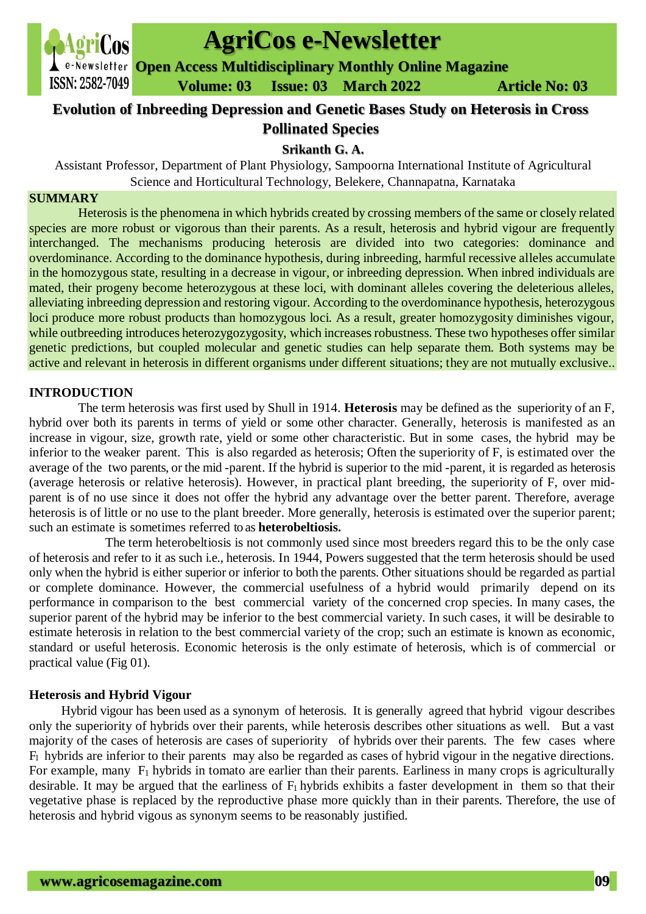

# **AgriCos e-Newsletter**

**Open Access Multidisciplinary Monthly Online Magazine**

 **Volume: 03 Issue: 03 March 2022 Article No: 03**

## **Evolution of Inbreeding Depression and Genetic Bases Study on Heterosis in Cross Pollinated Species**

# **Srikanth G. A.**

Assistant Professor, Department of Plant Physiology, Sampoorna International Institute of Agricultural Science and Horticultural Technology, Belekere, Channapatna, Karnataka

#### **SUMMARY**

Heterosis is the phenomena in which hybrids created by crossing members of the same or closely related species are more robust or vigorous than their parents. As a result, heterosis and hybrid vigour are frequently interchanged. The mechanisms producing heterosis are divided into two categories: dominance and overdominance. According to the dominance hypothesis, during inbreeding, harmful recessive alleles accumulate in the homozygous state, resulting in a decrease in vigour, or inbreeding depression. When inbred individuals are mated, their progeny become heterozygous at these loci, with dominant alleles covering the deleterious alleles, alleviating inbreeding depression and restoring vigour. According to the overdominance hypothesis, heterozygous loci produce more robust products than homozygous loci. As a result, greater homozygosity diminishes vigour, while outbreeding introduces heterozygozygosity, which increases robustness. These two hypotheses offer similar genetic predictions, but coupled molecular and genetic studies can help separate them. Both systems may be active and relevant in heterosis in different organisms under different situations; they are not mutually exclusive..

## **INTRODUCTION**

The term heterosis was first used by Shull in 1914. **Heterosis** may be defined as the superiority of an F, hybrid over both its parents in terms of yield or some other character. Generally, heterosis is manifested as an increase in vigour, size, growth rate, yield or some other characteristic. But in some cases, the hybrid may be inferior to the weaker parent. This is also regarded as heterosis; Often the superiority of F, is estimated over the average of the two parents, or the mid -parent. If the hybrid is superior to the mid -parent, it is regarded as heterosis (average heterosis or relative heterosis). However, in practical plant breeding, the superiority of F, over midparent is of no use since it does not offer the hybrid any advantage over the better parent. Therefore, average heterosis is of little or no use to the plant breeder. More generally, heterosis is estimated over the superior parent; such an estimate is sometimes referred to as **heterobeltiosis.** 

The term heterobeltiosis is not commonly used since most breeders regard this to be the only case of heterosis and refer to it as such i.e., heterosis. In 1944, Powers suggested that the term heterosis should be used only when the hybrid is either superior or inferior to both the parents. Other situations should be regarded as partial or complete dominance. However, the commercial usefulness of a hybrid would primarily depend on its performance in comparison to the best commercial variety of the concerned crop species. In many cases, the superior parent of the hybrid may be inferior to the best commercial variety. In such cases, it will be desirable to estimate heterosis in relation to the best commercial variety of the crop; such an estimate is known as economic, standard or useful heterosis. Economic heterosis is the only estimate of heterosis, which is of commercial or practical value (Fig 01).

## **Heterosis and Hybrid Vigour**

Hybrid vigour has been used as a synonym of heterosis. It is generally agreed that hybrid vigour describes only the superiority of hybrids over their parents, while heterosis describes other situations as well. But a vast majority of the cases of heterosis are cases of superiority of hybrids over their parents. The few cases where  $F_1$  hybrids are inferior to their parents may also be regarded as cases of hybrid vigour in the negative directions. For example, many  $F_1$  hybrids in tomato are earlier than their parents. Earliness in many crops is agriculturally desirable. It may be argued that the earliness of  $F_1$  hybrids exhibits a faster development in them so that their vegetative phase is replaced by the reproductive phase more quickly than in their parents. Therefore, the use of heterosis and hybrid vigous as synonym seems to be reasonably justified.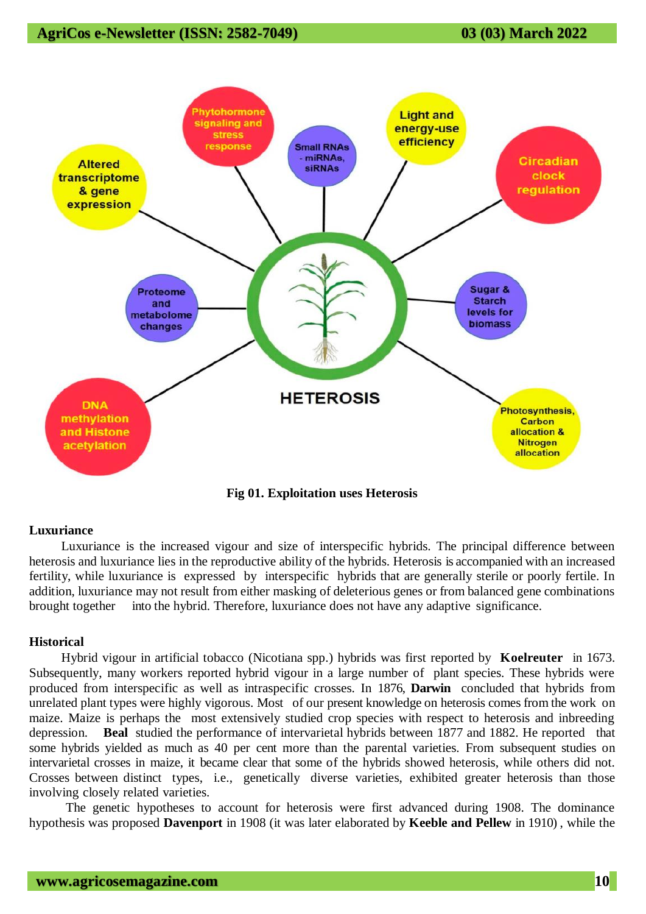## **AgriCos e-Newsletter (ISSN: 2582-7049) 03 (03) March 2022**



**Fig 01. Exploitation uses Heterosis**

#### **Luxuriance**

Luxuriance is the increased vigour and size of interspecific hybrids. The principal difference between heterosis and luxuriance lies in the reproductive ability of the hybrids. Heterosis is accompanied with an increased fertility, while luxuriance is expressed by interspecific hybrids that are generally sterile or poorly fertile. In addition, luxuriance may not result from either masking of deleterious genes or from balanced gene combinations brought together into the hybrid. Therefore, luxuriance does not have any adaptive significance.

#### **Historical**

Hybrid vigour in artificial tobacco (Nicotiana spp.) hybrids was first reported by **Koelreuter** in 1673. Subsequently, many workers reported hybrid vigour in a large number of plant species. These hybrids were produced from interspecific as well as intraspecific crosses. In 1876, **Darwin** concluded that hybrids from unrelated plant types were highly vigorous. Most of our present knowledge on heterosis comes from the work on maize. Maize is perhaps the most extensively studied crop species with respect to heterosis and inbreeding depression. **Beal** studied the performance of intervarietal hybrids between 1877 and 1882. He reported that some hybrids yielded as much as 40 per cent more than the parental varieties. From subsequent studies on intervarietal crosses in maize, it became clear that some of the hybrids showed heterosis, while others did not. Crosses between distinct types, i.e., genetically diverse varieties, exhibited greater heterosis than those involving closely related varieties.

The genetic hypotheses to account for heterosis were first advanced during 1908. The dominance hypothesis was proposed **Davenport** in 1908 (it was later elaborated by **Keeble and Pellew** in 1910) , while the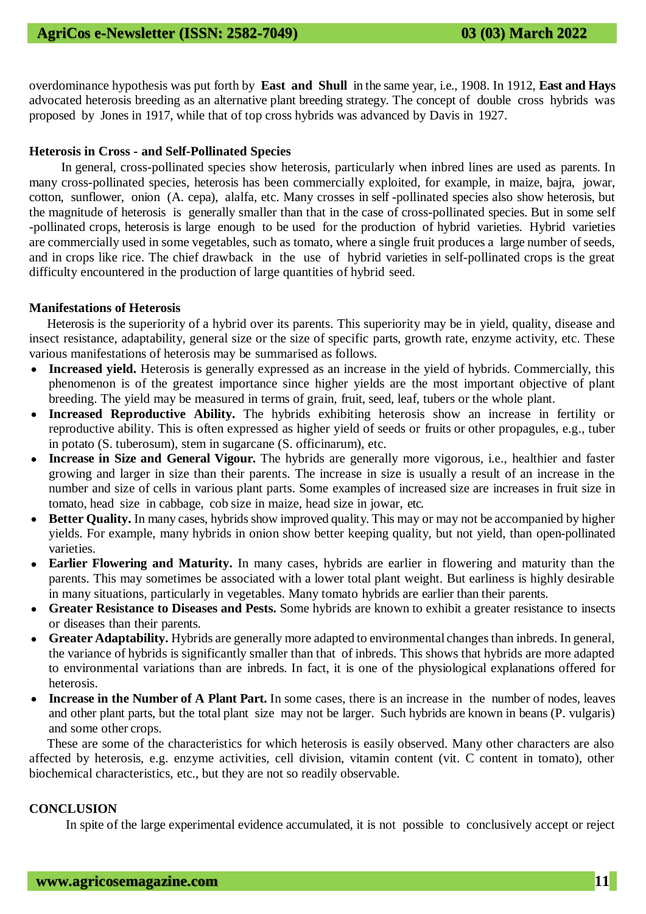overdominance hypothesis was put forth by **East and Shull** in the same year, i.e., 1908. In 1912, **East and Hays**  advocated heterosis breeding as an alternative plant breeding strategy. The concept of double cross hybrids was proposed by Jones in 1917, while that of top cross hybrids was advanced by Davis in 1927.

#### **Heterosis in Cross - and Self-Pollinated Species**

In general, cross-pollinated species show heterosis, particularly when inbred lines are used as parents. In many cross-pollinated species, heterosis has been commercially exploited, for example, in maize, bajra, jowar, cotton, sunflower, onion (A. cepa), alalfa, etc. Many crosses in self -pollinated species also show heterosis, but the magnitude of heterosis is generally smaller than that in the case of cross-pollinated species. But in some self -pollinated crops, heterosis is large enough to be used for the production of hybrid varieties. Hybrid varieties are commercially used in some vegetables, such as tomato, where a single fruit produces a large number of seeds, and in crops like rice. The chief drawback in the use of hybrid varieties in self-pollinated crops is the great difficulty encountered in the production of large quantities of hybrid seed.

#### **Manifestations of Heterosis**

Heterosis is the superiority of a hybrid over its parents. This superiority may be in yield, quality, disease and insect resistance, adaptability, general size or the size of specific parts, growth rate, enzyme activity, etc. These various manifestations of heterosis may be summarised as follows.

- Increased yield. Heterosis is generally expressed as an increase in the yield of hybrids. Commercially, this phenomenon is of the greatest importance since higher yields are the most important objective of plant breeding. The yield may be measured in terms of grain, fruit, seed, leaf, tubers or the whole plant.
- **Increased Reproductive Ability.** The hybrids exhibiting heterosis show an increase in fertility or reproductive ability. This is often expressed as higher yield of seeds or fruits or other propagules, e.g., tuber in potato (S. tuberosum), stem in sugarcane (S. officinarum), etc.
- Increase in Size and General Vigour. The hybrids are generally more vigorous, i.e., healthier and faster growing and larger in size than their parents. The increase in size is usually a result of an increase in the number and size of cells in various plant parts. Some examples of increased size are increases in fruit size in tomato, head size in cabbage, cob size in maize, head size in jowar, etc.
- **Better Quality.** In many cases, hybrids show improved quality. This may or may not be accompanied by higher yields. For example, many hybrids in onion show better keeping quality, but not yield, than open-pollinated varieties.
- **Earlier Flowering and Maturity.** In many cases, hybrids are earlier in flowering and maturity than the parents. This may sometimes be associated with a lower total plant weight. But earliness is highly desirable in many situations, particularly in vegetables. Many tomato hybrids are earlier than their parents.
- **Greater Resistance to Diseases and Pests.** Some hybrids are known to exhibit a greater resistance to insects or diseases than their parents.
- **Greater Adaptability.** Hybrids are generally more adapted to environmental changes than inbreds. In general, the variance of hybrids is significantly smaller than that of inbreds. This shows that hybrids are more adapted to environmental variations than are inbreds. In fact, it is one of the physiological explanations offered for heterosis.
- **Increase in the Number of A Plant Part.** In some cases, there is an increase in the number of nodes, leaves and other plant parts, but the total plant size may not be larger. Such hybrids are known in beans (P. vulgaris) and some other crops.

These are some of the characteristics for which heterosis is easily observed. Many other characters are also affected by heterosis, e.g. enzyme activities, cell division, vitamin content (vit. C content in tomato), other biochemical characteristics, etc., but they are not so readily observable.

#### **CONCLUSION**

In spite of the large experimental evidence accumulated, it is not possible to conclusively accept or reject